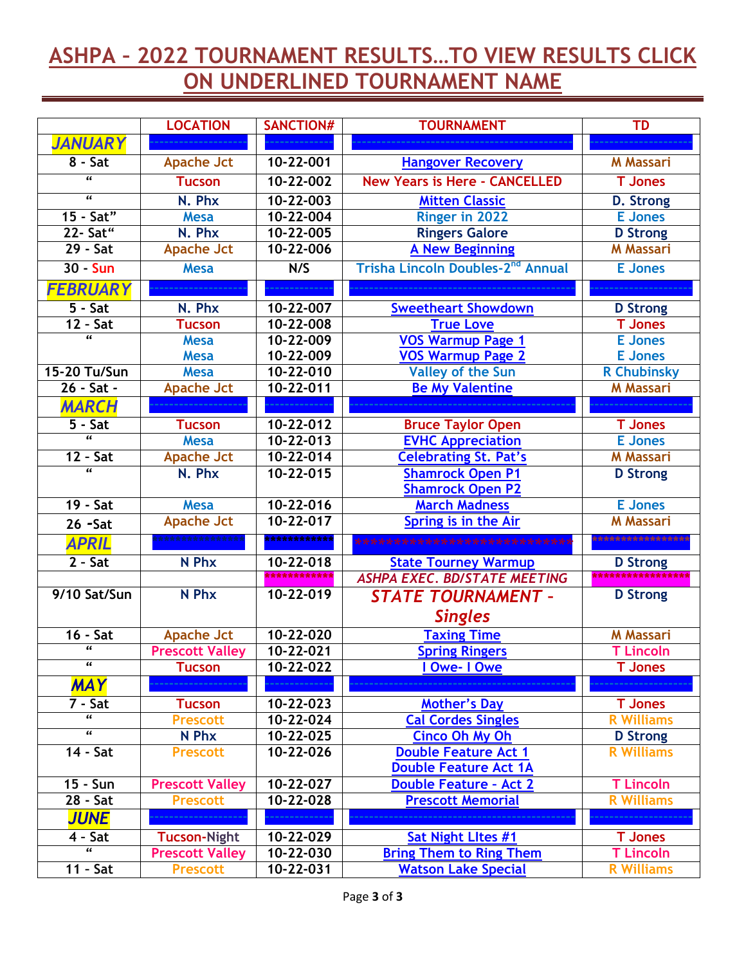## **ASHPA – 2022 TOURNAMENT RESULTS…TO VIEW RESULTS CLICK ON UNDERLINED TOURNAMENT NAME**

|                         | <b>LOCATION</b>        | <b>SANCTION#</b> | <b>TOURNAMENT</b>                                               | <b>TD</b>          |
|-------------------------|------------------------|------------------|-----------------------------------------------------------------|--------------------|
| <b>JANUARY</b>          |                        |                  |                                                                 |                    |
| $8 - Sat$               | <b>Apache Jct</b>      | 10-22-001        | <b>Hangover Recovery</b>                                        | <b>M</b> Massari   |
| $\overline{\mathbf{a}}$ | <b>Tucson</b>          | $10 - 22 - 002$  | <b>New Years is Here - CANCELLED</b>                            | <b>T</b> Jones     |
| $\overline{\mathbf{a}}$ | N. Phx                 | $10 - 22 - 003$  | <b>Mitten Classic</b>                                           | <b>D. Strong</b>   |
| 15 - Sat"               | <b>Mesa</b>            | 10-22-004        | Ringer in 2022                                                  | <b>E</b> Jones     |
| 22- Sat"                | N. Phx                 | $10 - 22 - 005$  | <b>Ringers Galore</b>                                           | <b>D</b> Strong    |
| $29 - Sat$              | <b>Apache Jct</b>      | 10-22-006        | <b>A New Beginning</b>                                          | <b>M</b> Massari   |
| 30 - Sun                | <b>Mesa</b>            | N/S              | Trisha Lincoln Doubles-2 <sup>nd</sup> Annual<br><b>E</b> Jones |                    |
| <b>FEBRUARY</b>         |                        |                  |                                                                 |                    |
| $5 - Sat$               | N. Phx                 | 10-22-007        | <b>Sweetheart Showdown</b>                                      | <b>D</b> Strong    |
| $12 - Sat$              | <b>Tucson</b>          | 10-22-008        | <b>True Love</b>                                                | T Jones            |
| $\overline{\mathbf{a}}$ | <b>Mesa</b>            | 10-22-009        | <b>VOS Warmup Page 1</b>                                        | <b>E</b> Jones     |
|                         | <b>Mesa</b>            | 10-22-009        | <b>VOS Warmup Page 2</b>                                        | <b>E</b> Jones     |
| 15-20 Tu/Sun            | <b>Mesa</b>            | $10 - 22 - 010$  | <b>Valley of the Sun</b>                                        | <b>R Chubinsky</b> |
| 26 - Sat -              | <b>Apache Jct</b>      | $10 - 22 - 011$  | <b>Be My Valentine</b>                                          | <b>M</b> Massari   |
| <b>MARCH</b>            |                        |                  |                                                                 |                    |
| $5 - Sat$               | <b>Tucson</b>          | 10-22-012        | <b>Bruce Taylor Open</b>                                        | <b>T</b> Jones     |
| $\overline{a}$          | <b>Mesa</b>            | $10 - 22 - 013$  | <b>EVHC Appreciation</b>                                        | <b>E</b> Jones     |
| $12 - 5at$              | <b>Apache Jct</b>      | $10 - 22 - 014$  | <b>Celebrating St. Pat's</b>                                    | <b>M</b> Massari   |
| $\overline{\mathbf{a}}$ | N. Phx                 | $10 - 22 - 015$  | <b>Shamrock Open P1</b>                                         | <b>D</b> Strong    |
|                         |                        |                  | <b>Shamrock Open P2</b>                                         |                    |
| $19 - Sat$              | <b>Mesa</b>            | $10 - 22 - 016$  | <b>March Madness</b>                                            | <b>E</b> Jones     |
| $26 - Sat$              | <b>Apache Jct</b>      | $10 - 22 - 017$  | Spring is in the Air                                            | <b>M</b> Massari   |
| <b>APRIL</b>            |                        | ************     | ****************                                                |                    |
| $2 - Sat$               | N Phx                  | 10-22-018        | <b>State Tourney Warmup</b>                                     | <b>D</b> Strong    |
|                         |                        | ************     | <b>ASHPA EXEC. BD/STATE MEETING</b>                             | ****************** |
| 9/10 Sat/Sun            | N Phx                  | 10-22-019        | <b>STATE TOURNAMENT -</b>                                       | <b>D</b> Strong    |
|                         |                        |                  | <b>Singles</b>                                                  |                    |
| $16 - Sat$              | <b>Apache Jct</b>      | 10-22-020        | <b>Taxing Time</b>                                              | <b>M</b> Massari   |
| $\epsilon$              | <b>Prescott Valley</b> | $10 - 22 - 021$  | <b>Spring Ringers</b>                                           | <b>T Lincoln</b>   |
| $\overline{\mathbf{G}}$ | <b>Tucson</b>          | $10 - 22 - 022$  | I Owe- I Owe                                                    | <b>T</b> Jones     |
| <b>MAY</b>              |                        |                  |                                                                 |                    |
| $7 - Sat$               | <b>Tucson</b>          | 10-22-023        | <b>Mother's Day</b>                                             | <b>T</b> Jones     |
| $\overline{\mathbf{a}}$ | <b>Prescott</b>        | 10-22-024        | <b>Cal Cordes Singles</b>                                       | <b>R</b> Williams  |
| $\epsilon$              | N Phx                  | 10-22-025        | <b>Cinco Oh My Oh</b>                                           | <b>D</b> Strong    |
| 14 - Sat                | <b>Prescott</b>        | 10-22-026        | <b>Double Feature Act 1</b>                                     | <b>R</b> Williams  |
|                         |                        |                  | <b>Double Feature Act 1A</b>                                    |                    |
| 15 - Sun                | <b>Prescott Valley</b> | $10 - 22 - 027$  | <b>Double Feature - Act 2</b>                                   | <b>T Lincoln</b>   |
| $28 - $                 | <b>Prescott</b>        | 10-22-028        | <b>Prescott Memorial</b>                                        | <b>R</b> Williams  |
| <b>JUNE</b>             |                        |                  |                                                                 |                    |
| $4 - Sat$               | <b>Tucson-Night</b>    | 10-22-029        | Sat Night Lltes #1                                              | <b>T</b> Jones     |
| $\overline{\mathbf{a}}$ | <b>Prescott Valley</b> | 10-22-030        | <b>Bring Them to Ring Them</b>                                  | <b>T Lincoln</b>   |
| $11 - Sat$              | <b>Prescott</b>        | 10-22-031        | <b>Watson Lake Special</b>                                      | <b>R</b> Williams  |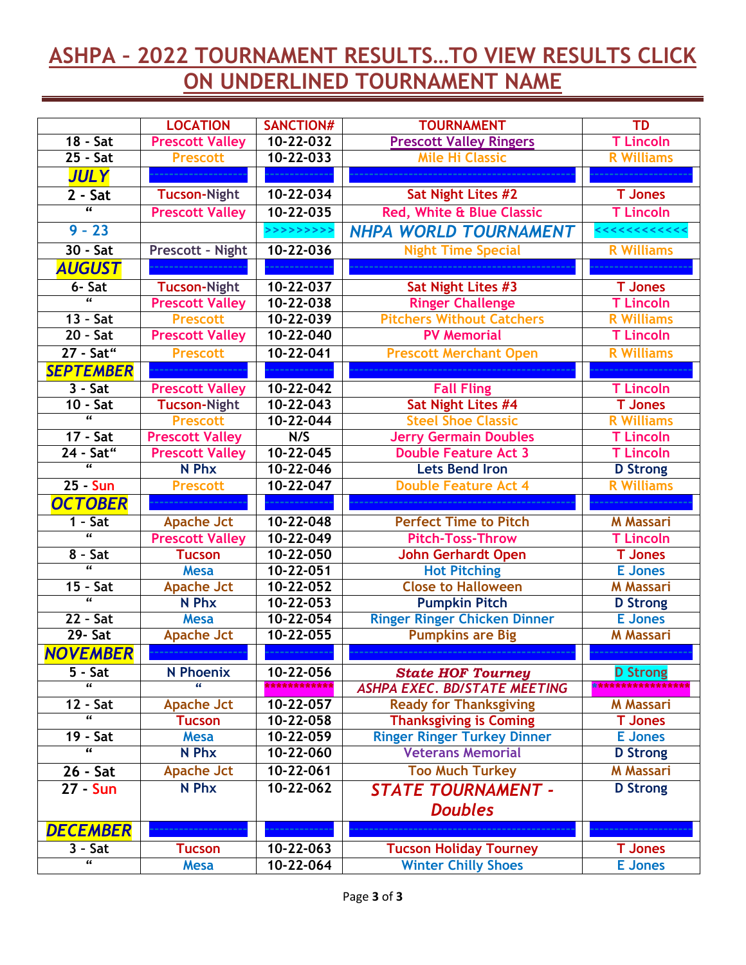## **ASHPA – 2022 TOURNAMENT RESULTS…TO VIEW RESULTS CLICK ON UNDERLINED TOURNAMENT NAME**

|                                      | <b>LOCATION</b>        | <b>SANCTION#</b> | <b>TOURNAMENT</b>                   | <b>TD</b>         |
|--------------------------------------|------------------------|------------------|-------------------------------------|-------------------|
| $18 - $                              | <b>Prescott Valley</b> | $10 - 22 - 032$  | <b>Prescott Valley Ringers</b>      | <b>T Lincoln</b>  |
| $25 - Sat$                           | <b>Prescott</b>        | $10 - 22 - 033$  | <b>Mile Hi Classic</b>              | <b>R</b> Williams |
| <b>JULY</b>                          |                        |                  |                                     |                   |
| $2 - Sat$                            | <b>Tucson-Night</b>    | $10 - 22 - 034$  | Sat Night Lites #2                  | <b>T</b> Jones    |
| $\overline{a}$                       | <b>Prescott Valley</b> | $10 - 22 - 035$  | Red, White & Blue Classic           | <b>T Lincoln</b>  |
| $9 - 23$                             |                        | >>>>>>>>>>       | NHPA WORLD TOURNAMENT               |                   |
| $30 - 5at$                           | Prescott - Night       | 10-22-036        | <b>Night Time Special</b>           | <b>R</b> Williams |
| <b>AUGUST</b>                        |                        |                  |                                     |                   |
| 6- Sat                               | Tucson-Night           | 10-22-037        | Sat Night Lites #3                  | <b>T</b> Jones    |
| $\overline{a}$                       | <b>Prescott Valley</b> | $10 - 22 - 038$  | <b>Ringer Challenge</b>             | <b>T Lincoln</b>  |
| $13 - Sat$                           | <b>Prescott</b>        | 10-22-039        | <b>Pitchers Without Catchers</b>    | <b>R</b> Williams |
| $20 - Sat$                           | <b>Prescott Valley</b> | 10-22-040        | <b>PV Memorial</b>                  | <b>T Lincoln</b>  |
| 27 - Sat"                            | <b>Prescott</b>        | 10-22-041        | <b>Prescott Merchant Open</b>       | <b>R</b> Williams |
| <b>SEPTEMBER</b>                     |                        |                  |                                     |                   |
| $3 - Sat$                            | <b>Prescott Valley</b> | $10 - 22 - 042$  | <b>Fall Fling</b>                   | <b>T Lincoln</b>  |
| $10 - Sat$                           | <b>Tucson-Night</b>    | $10 - 22 - 043$  | Sat Night Lites #4                  | <b>T</b> Jones    |
| $\overline{a}$                       | <b>Prescott</b>        | $10 - 22 - 044$  | <b>Steel Shoe Classic</b>           | <b>R</b> Williams |
| 17 - Sat                             | <b>Prescott Valley</b> | N/S              | <b>Jerry Germain Doubles</b>        | <b>T Lincoln</b>  |
| 24 - Sat"                            | <b>Prescott Valley</b> | $10 - 22 - 045$  | <b>Double Feature Act 3</b>         | <b>T</b> Lincoln  |
| $\overline{\mathbf{a}}$              | N Phx                  | 10-22-046        | <b>Lets Bend Iron</b>               | <b>D</b> Strong   |
| $25 - Sun$                           | <b>Prescott</b>        | 10-22-047        | <b>Double Feature Act 4</b>         | <b>R</b> Williams |
|                                      |                        |                  |                                     |                   |
| <b>OCTOBER</b>                       | .                      |                  |                                     | .                 |
| $1 - Sat$                            | <b>Apache Jct</b>      | 10-22-048        | <b>Perfect Time to Pitch</b>        | <b>M</b> Massari  |
| $\overline{\mathbf{a}}$              | <b>Prescott Valley</b> | 10-22-049        | <b>Pitch-Toss-Throw</b>             | <b>T Lincoln</b>  |
| $8 - Sat$                            | <b>Tucson</b>          | 10-22-050        | <b>John Gerhardt Open</b>           | <b>T</b> Jones    |
| $\overline{a}$                       | <b>Mesa</b>            | $10 - 22 - 051$  | <b>Hot Pitching</b>                 | <b>E</b> Jones    |
| $15 - 5at$                           | Apache Jct             | $10 - 22 - 052$  | <b>Close to Halloween</b>           | <b>M</b> Massari  |
| $\overline{u}$                       | N Phx                  | $10 - 22 - 053$  | <b>Pumpkin Pitch</b>                | <b>D</b> Strong   |
| $22 - $ Sat                          | <b>Mesa</b>            | 10-22-054        | <b>Ringer Ringer Chicken Dinner</b> | <b>E</b> Jones    |
| <b>29- Sat</b>                       | <b>Apache Jct</b>      | $10 - 22 - 055$  | <b>Pumpkins are Big</b>             | <b>M Massari</b>  |
| <b>NOVEMBER</b>                      |                        |                  |                                     |                   |
| $5 - Sat$<br>$\overline{\mathbf{a}}$ | <b>N</b> Phoenix       | 10-22-056        | <b>State HOF Tourney</b>            | <b>D</b> Strong   |
|                                      |                        | ************     | <b>ASHPA EXEC. BD/STATE MEETING</b> | ***************** |
| $12 - Sat$<br>$\epsilon$             | <b>Apache Jct</b>      | 10-22-057        | <b>Ready for Thanksgiving</b>       | <b>M Massari</b>  |
|                                      | <b>Tucson</b>          | 10-22-058        | <b>Thanksgiving is Coming</b>       | <b>T</b> Jones    |
| 19 - Sat<br>$\overline{\mathbf{G}}$  | <b>Mesa</b>            | 10-22-059        | <b>Ringer Ringer Turkey Dinner</b>  | <b>E</b> Jones    |
|                                      | N Phx                  | 10-22-060        | <b>Veterans Memorial</b>            | <b>D</b> Strong   |
| 26 - Sat                             | <b>Apache Jct</b>      | 10-22-061        | <b>Too Much Turkey</b>              | <b>M Massari</b>  |
| 27 - Sun                             | N Phx                  | $10 - 22 - 062$  | <b>STATE TOURNAMENT -</b>           | <b>D</b> Strong   |
|                                      |                        |                  | <b>Doubles</b>                      |                   |
| <b>DECEMBER</b>                      |                        |                  |                                     |                   |
| $3 - Sat$<br>$\epsilon$              | <b>Tucson</b>          | 10-22-063        | <b>Tucson Holiday Tourney</b>       | <b>T</b> Jones    |